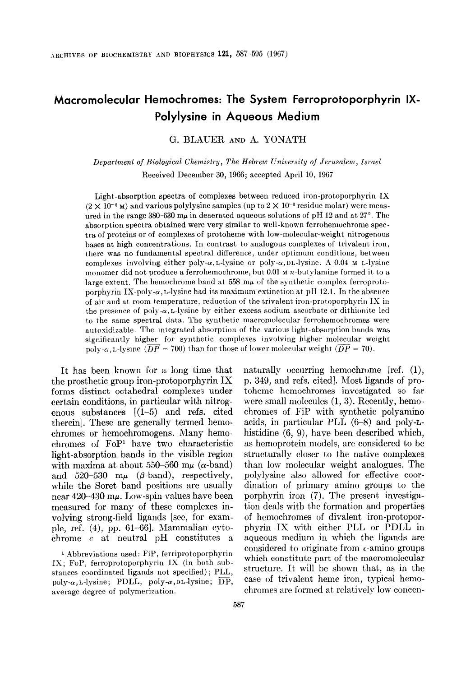# Macromolecular Hemochromes: The System Ferroprotoporphyrin IX-Polylysine in Aqueous Medium

G. BLAUER AND A. YONATH

Department of Biological Chemistry, The Hebrew University of Jerusalem, Israel Received December 30, 1966; accepted April 10, 1967

Light-absorption spectra of complexes between reduced iron-protoporphyrin IX  $(2 \times 10^{-5} \text{ m})$  and various polylysine samples (up to  $2 \times 10^{-3}$  residue molar) were measured in the range 380–630  $m\mu$  in deaerated aqueous solutions of pH 12 and at 27°. The absorption spectra obtained were very similar to well-known ferrohemochrome spectra of proteins or of complexes of protoheme with low-molecular-weight nitrogenous bases at high concentrations. In contrast to analogous complexes of trivalent iron, there was no fundamental spectral difference, under optimum conditions, between complexes involving either poly- $\alpha$ , L-lysine or poly- $\alpha$ , DL-lysine. A 0.04 M L-lysine monomer did not produce a ferrohemochrome, but 0.01 M n-butylamine formed it to a large extent. The hemochrome band at  $558 \text{ m}\mu$  of the synthetic complex ferroprotoporphyrin IX-poly- $\alpha$ , L-lysine had its maximum extinction at pH 12.1. In the absence of air and at room temperature, reduction of the trivalent iron-protoporphyrin IX in the presence of poly- $\alpha$ , L-lysine by either excess sodium ascorbate or dithionite led to the same spectral data. The synthetic macromolecular ferrohemochromes were autoxidizable. The integrated absorption of the various light-absorption bands was significantly higher for synthetic complexes involving higher molecular weight poly- $\alpha$ , L-lysine ( $\overline{DP}$  = 700) than for those of lower molecular weight ( $\overline{DP}$  = 70).

It has been known for a long time that the prosthetic group iron-protoporphyrin IX forms distinct octahedral complexes under certain conditions, in particular with nitrogenous substances  $(1-5)$  and refs. cited therein]. These are generally termed hemochromes or hemochromogens. Many hemochromes of FOP' have two characteristic light-absorption bands in the visible region with maxima at about 550-560 m $\mu$  ( $\alpha$ -band) and 520-530  $m\mu$  ( $\beta$ -band), respectively, while the Soret band positions are usually near  $420 - 430$  m $\mu$ . Low-spin values have been measured for many of these complexes involving strong-field ligands [see, for example, ref.  $(4)$ , pp. 61–66. Mammalian cytochrome c at neutral pH constitutes a

1 Abbreviations used: FiP, ferriprotoporphyrin IX; FOP, ferroprotoporphyrin IX (in both substances coordinated ligands not specified); PLL, poly- $\alpha$ , L-lysine; PDLL, poly- $\alpha$ , DL-lysine;  $\overline{DP}$ , average degree of polymerization.

naturally occurring hemochrome [ref. (I), p. 349, and refs. cited]. Most ligands of protoheme hemochromes investigated so far were small molecules (1, 3). Recently, hemochromes of FiP with synthetic polyamino acids, in particular PLL (6-8) and poly-Lhistidine (6, 9), have been described which, as hemoprotein models, are considered to be structurally closer to the native complexes than low molecular weight analogues. The polylysine also allowed for effective coordination of primary amino groups to the porphyrin iron (7). The present investigation deals with the formation and properties of hemochromes of divalent iron-protoporphyrin IX with either PLL or PDLL in aqueous medium in which the ligands are considered to originate from  $\epsilon$ -amino groups which constitute part of the macromolecular structure. It will be shown that, as in the case of trivalent heme iron, typical hemochromes are formed at relatively low concen-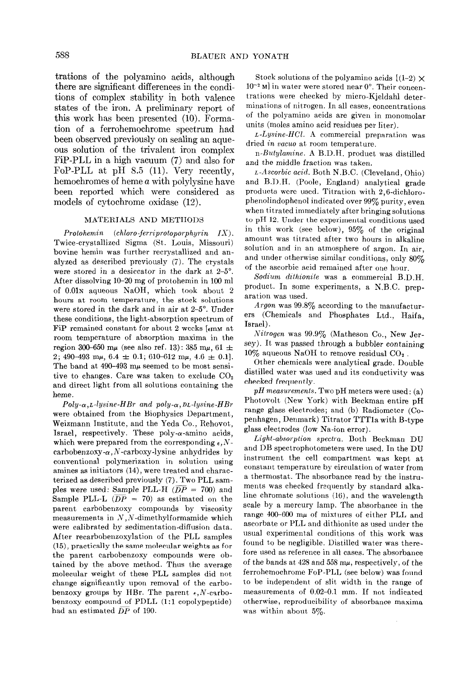trations of the polyamino acids, although there are significant differences in the conditions of complex stability in both valence states of the iron. A preliminary report of this work has been presented (10). Formation of a ferrohemochrome spectrum had been observed previously on sealing an aqueous solution of the trivalent iron complex FiP-PLL in a high vacuum (7) and also for FOP-PLL at pH 8.5 (11). Very recently, hemochromes of heme a with polylysine have been reported which were considered as models of cytochrome oxidase (12).

#### MATERIALS AND METHODS

Protohemin (chloro-ferriprotoporphyrin  $IX$ ). Twice-crystallized Sigma (St. Louis, Missouri) bovine hemin was further recrystallized and analyzed as described previously  $(7)$ . The crystals were stored in a desiccator in the dark at 2-5<sup>o</sup>. After dissolving 10-20 mg of protohemin in 100 ml of 0.01N aqueous NaOH, which took about 2 hours at room temperature, the stock solutions were stored in the dark and in air at 2-5". Under these conditions, the light-absorption spectrum of FiP remained constant for about 2 weeks  $[<sub>ermm</sub>]$  at room temperature of absorption maxima in the region 300–650 m $\mu$  (see also ref. 13): 385 m $\mu$ , 61  $\pm$ 2; 490-493 m $\mu$ , 6.4  $\pm$  0.1; 610-612 m $\mu$ , 4.6  $\pm$  0.1]. The band at  $490-493$  m $\mu$  seemed to be most sensitive to changes. Care was taken to exclude  $CO<sub>2</sub>$ and direct light from all solutions containing the heme.

 $Poly-\alpha,L-lysine-HBr$  and  $poly-\alpha,DL-lysine-HBr$ were obtained from the Biophysics Department, Weizmann lnstitute, and the Yeda Co., Rehovot,, Israel, respectively. These poly- $\alpha$ -amino acids, which were prepared from the corresponding  $\epsilon, N$ carbobenzoxy- $\alpha$ , N-carboxy-lysine anhydrides by conventional polymerization in solution using amines as initiators (14), were treated and characterized as described previously (7). Two PLL samples were used: Sample PLL-H ( $\overline{DP}$  = 700) and Sample PLL-L ( $\overline{DP}$  = 70) as estimated on the parent carbobenzoxy compounds by viscosity measurements in  $N$ ,  $N$ -dimethylformamide which were calibrated by sedimentation-difiusion data. After recarbobenzoxylation of the PLL samples (15)) practically the same molecular weights as for the parent carbobenzoxy compounds were obtained by the above method. Thus the average molecular weight of these PLL samples did not change significantly upon removal of the carbobenzoxy groups by HBr. The parent  $\epsilon$ , N-carbobenzoxy compound of PDLL (1:l copolypeptide) had an estimated  $\overline{DP}$  of 190.

Stock solutions of the polyamino acids  $[(1-2) \times$  $10^{-2}$  M] in water were stored near  $0^{\circ}$ . Their concentrations were checked by micro-Kjeldahl determinations of nitrogen. In all cases, concentrations of the polyamino acids are given in monomolar units (moles amino acid residues per liter).

 $L$ -Lysine-HCl. A commercial preparation was dried in vacuo at room temperature.

n-Butylamine. A B.D.H. product was distilled and the middle fraction was taken.

L-Ascorbic acid. Both N.B.C. (Cleveland, Ohio) and B.D.H. (Poole, England) analytical grade products were used. Titration with  $2,6$ -dichlorophenolindophenol indicated over 99% purity, even when titrated immediately after bringing solutions to pH 12. Under the experimental conditions used in this work (see below), 95% of the original amount was titrated after two hours in alkaline solution and in an atmosphere of argon. In air, and under otherwise similar conditions, only  $80\%$ of the ascorbic acid remained after one hour.

Sodium difhionife was a commercial B.D.H. product. In some experiments, a N.B.C. preparation was used.

Argon was  $99.8\%$  according to the manufacturers (Chemicals and Phosphates Ltd., Haifa, Israel).

Nitrogen was 99.9% (Matheson Co., New Jersey). It was passed through a bubbler containing  $10\%$  aqueous NaOH to remove residual CO<sub>2</sub>.

Other chemicals were analytical grade. Double distilled water was used and its conductivity was checked frequently.

 $pH$  measurements. Two pH meters were used: (a) Photovolt (New York) with Beckman entire pH range glass electrodes; and (b) Radiometer (Copenhagen, Denmark) Titrator TTTla with B-type glass electrodes (low Na-ion error).

Light-absorption spectra. Both Beckman DU and DB spectrophotometers were used. In the DU instrument the cell compartment was kept at constant temperature by circulation of water from a thermostat. The absorbance read by the instruments was checked frequently by standard alkaline chromate solutions (16), and the wavelength scale by a mercury lamp. The absorbance in the range 400-600  $m\mu$  of mixtures of either PLL and ascorbate or PLL and dithionite as used under the usual experimental conditions of this work was found to be negligible. Distilled water was therefore used as reference in all cases. The absorbance of the bands at  $428$  and  $558 \text{ m}\mu$ , respectively, of the ferrohemochrome FOP-PLL (see below) was found to be independent of slit width in the range of measurements of 0.02-0.1 mm. If not indicated otherwise, reproducibility of absorbance maxima was within about 5%.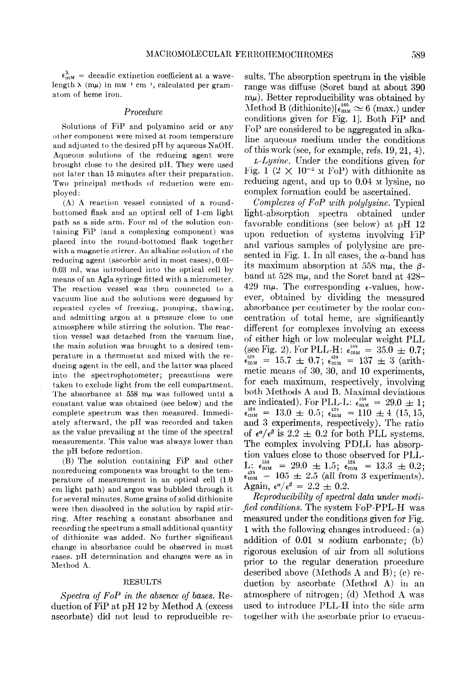$\epsilon_{\text{mm}}^{\lambda}$  = decadic extinction coefficient at a wavelength  $\lambda$  (m $\mu$ ) in m $M^{-1}$  cm<sup>-1</sup>, calculated per gramatom of heme iron.

### Procedure

Solutions of FiP and polyamino acid or any other component were mixed at room temperature and adjusted to the desired pH by aqueous NaOH. Aqueous solutions of the reducing agent were brought close to the desired PH. They were used not later than 15 minutes after their preparation. Two principal methods of reduction were employed :

 $(A)$  A reaction vessel consisted of a roundbottomed flask and an optical cell of l-cm light path as a side arm. Four ml of the solution containing FiP (and a complexing component) was placed into the round-bottomed flask together with a magnetic stirrer. An alkaline solution of the reducing agent (ascorbic acid in most cases), O.Ol-0.03 ml, was introduced into the optical cell by means of an Agla syringe fitted with a micrometer. The reaction vessel was then connected to a vacuum line and the solutions were degassed by repeated cycles of freezing, pumping, thawing, and admitting argon at a pressure close to one atmosphere while stirring the solution. The reaction vessel was detached from the vacuum line, the main solution was brought to a desired temperature in a thermostat and mixed with the reducing agent in the cell, and the latter was placed into the spectrophotometer; precautions were taken to exclude light from the cell compartment. The absorbance at  $558 \text{ m}\mu$  was followed until a constant value was obtained (see below) and the complete spectrum was then measured. lmmediately afterward, the pH was recorded and taken as the value prevailing at the time of the spectral measurements. This value was always lower than the pH before reduction.

(B) The solution containing FiP and other nonreducing components was brought to the temperature of measurement in an optical cell (1.0 cm light path) and argon was bubbled through it for several minutes. Some grains of solid dithionite were then dissolved in the solution by rapid stirring. After reaching a constant absorbance and recording the spectrum a small additional quantity of dithionite was added. No further significant change in absorbance could be observed in most cases. pH determination and changes were as in Method A.

### RESULTS

Spectra of  $FoP$  in the absence of bases. Reduction of FiP at pH 12 by Method A (excess ascorbate) did not lead to reproducible results. The absorption spectrum in the visible range was diffuse (Soret band at about 390  $m\mu$ ). Better reproducibility was obtained by  $\text{Method B (dithionite)}[\epsilon_{\text{mw}}^{560} \simeq 6 \text{ (max.) under}]$ conditions given for Fig. 11. Both FiP and FOP are considered to be aggregated in alkaline aqueous medium under the conditions of this work (see, for example, refs. 19,21, 4).

 $L-Lysine$ . Under the conditions given for Fig. 1  $(2 \times 10^{-5} \text{ m FoP})$  with dithionite as reducing agent, and up to  $0.04$   $\mu$  lysine, no complex formation could be ascertained.

Complexes of FoP with polylysine. Typical light-absorption spectra obtained under favorable conditions (see below) at pH 12 upon reduction of systems involving FiP and various samples of polylysine are presented in Fig. 1. In all cases, the  $\alpha$ -band has its maximum absorption at 558 m $\mu$ , the  $\beta$ band at 528 m $\mu$ , and the Soret band at 428-429 m $\mu$ . The corresponding  $\epsilon$ -values, however, obtained by dividing the measured absorbance per centimeter by the molar concentration of total heme, are significantly different for complexes involving an excess of either high or low molecular weight PLL<br>(see Fig. 2). For PLL-H:  $\epsilon_{\text{mM}}^{558} = 35.0 \pm 0.7$ ;  $\epsilon_{\text{max}}^{528}$  = 15.7  $\pm$  0.7;  $\epsilon_{\text{max}}^{429}$  = 137  $\pm$  3 (arithmetic means of 30, 30, and 10 experiments, for each maximum, respectively, involving both Methods A and B. Maximal deviations<br>are indicated). For PLL-L:  $\epsilon_{\text{max}}^{555} = 29.0 \pm 1$ ;  $\epsilon_{\text{mm}}^{328}$  = 13.0  $\pm$  0.5;  $\epsilon_{\text{mm}}^{428}$  = 110  $\pm$  4 (15, 15, and 3 experiments, respectively). The ratio of  $\epsilon^{\alpha}/\epsilon^{\beta}$  is 2.2  $\pm$  0.2 for both PLL systems. The complex involving PDLL has absorption values close to those observed for PLL-L:  $\epsilon_{\text{max}}^{558} = 29.0 \pm 1.5$ ;  $\epsilon_{\text{max}}^{528} = 13.3 \pm 0.2$ ;<br> $\epsilon_{\text{max}}^{428} = 105 \pm 2.5$  (all from 3 experiments)  $\epsilon_{\text{mm}}^{423}$  = 105  $\pm$  2.5 (all from 3 experiments). Again,  $\epsilon^{\alpha}/\epsilon^{\beta} = 2.2 \pm 0.2$ .

Reproducibility of spectral data under modified conditions. The system FoP-PPL-H was measured under the conditions given for Fig. 1 with the following changes introduced: (a) addition of  $0.01$   $\mu$  sodium carbonate; (b) rigorous exclusion of air from all solutions prior to the regular deaeration procedure described above (Alethods A and B) ; (c) reduction by ascorbate (Method A) in an atmosphere of nitrogen; (d) Method A was used to introduce PLL-H into the side arm together with the ascorbate prior to evacua-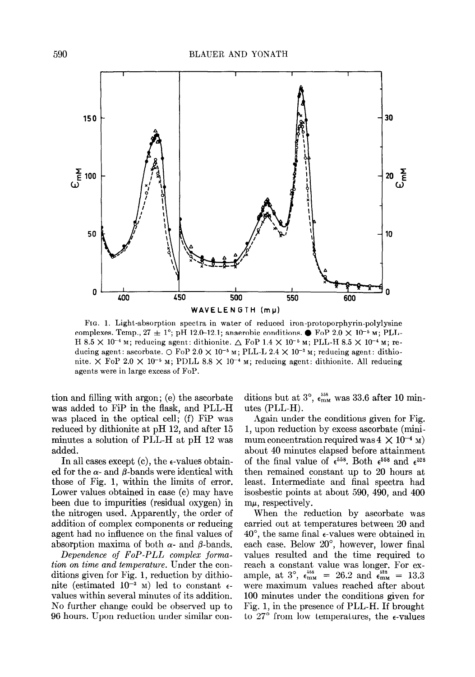

FIG. 1. Light-absorption spectra in water of reduced iron-protoporphyrin-polylysine complexes. Temp.,  $27 \pm 1^{\circ}$ ; pH 12.0-12.1; anaerobic conditions.  $\bullet$  FoP 2.0  $\times$  10<sup>-5</sup> M; PLL-H 8.5  $\times$  10<sup>-4</sup> M; reducing agent: dithionite.  $\triangle$  FoP 1.4  $\times$  10<sup>-5</sup> M; PLL-H 8.5  $\times$  10<sup>-4</sup> M; reducing agent: ascorbate.  $\bigcirc$  FoP 2.0  $\times$  10<sup>-5</sup> M; PLL-L 2.4  $\times$  10<sup>-3</sup> M; reducing agent: dithionite.  $\times$  FoP 2.0  $\times$  10<sup>-5</sup> M; PDLL 8.8  $\times$  10<sup>-4</sup> M; reducing agent: dithionite. All reducing agents were in large excess of FOP.

tion and filling with argon; (e) the ascorbate was added to FiP in the flask, and PLL-H was placed in the optical cell; (f) FiP was reduced by dithionite at pH 12, and after 15 minutes a solution of PLL-H at pH 12 was added.

In all cases except  $(c)$ , the  $\epsilon$ -values obtained for the  $\alpha$ - and  $\beta$ -bands were identical with those of Fig. 1, within the limits of error. Lower values obtained in case (c) may have been due to impurities (residual oxygen) in the nitrogen used. Apparently, the order of addition of complex components or reducing agent had no influence on the final values of absorption maxima of both  $\alpha$ - and  $\beta$ -bands.

Dependence of FOP-PLL complex formation on time and temperature. Under the conditions given for Fig. 1, reduction by dithionite (estimated  $10^{-3}$  M) led to constant  $\epsilon$ values within several minutes of its addition. No further change could be observed up to 96 hours. Upon reduction under similar conditions but at  $3^{\circ}$ ,  $\epsilon_{\text{mm}}^{558}$  was 33.6 after 10 minutes (PLL-H).

Again under the conditions given for Fig. 1, upon reduction by excess ascorbate (minimum concentration required was  $4 \times 10^{-4}$  M) about 40 minutes elapsed before attainment of the final value of  $\epsilon^{558}$ . Both  $\epsilon^{558}$  and  $\epsilon^{528}$ then remained constant up to 20 hours at least. Intermediate and final spectra had isosbestic points at about 590, 490, and 400  $m\mu$ , respectively.

When the reduction by ascorbate was carried out at temperatures between 20 and 40", the same final e-values were obtained in each case. Below 20", however, lower final values resulted and the time required to reach a constant value was longer. For example, at 3°,  $\epsilon_{\text{mm}}^{300}$  = 26.2 and  $\epsilon_{\text{mm}}^{220}$  = 13.3 were maximum values reached after about 100 minutes under the conditions given for Fig. 1, in the presence of PLL-H. If brought to 27 $\degree$  from low temperatures, the  $\epsilon$ -values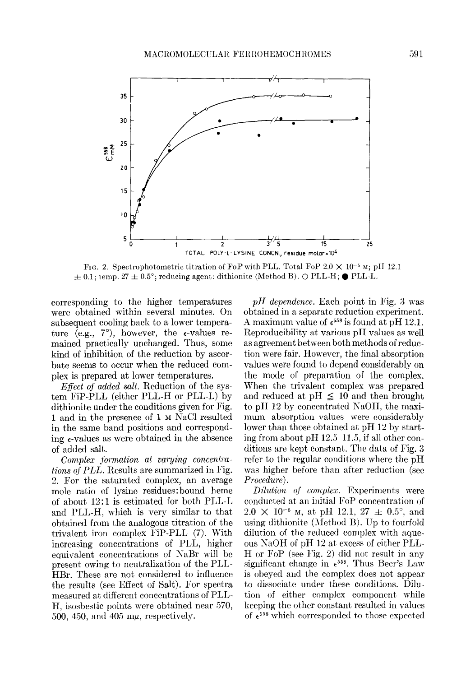

Fig. 2. Spectrophotometric titration of FoP with PLL. Total FoP  $2.0 \times 10^{-5}$  M; pH 12.1  $f \pm 0.1$ ; temp. 27  $\pm 0.5^{\circ}$ ; reducing agent; dithionite (Method B). O PLL-H;  $\bullet$  PLL-L.

corresponding to the higher temperatures were obtained within several minutes. On subsequent cooling back to a lower temperature (e.g.,  $7^{\circ}$ ), however, the  $\epsilon$ -values remained practically unchanged. Thus, some kind of inhibition of the reduction by ascorbate seems to occur when the reduced complex is prepared at lower temperatures.

*Effect of added salt.* Reduction of the system FiP-PLL (either PLL-H or PLL-L) by dithionite under the conditions given for Fig. 1 and in the presence of 1 M NaCl resulted in the same band positions and corresponding  $\epsilon$ -values as were obtained in the absence of added salt.

Complex formation at varying concentrations of PLL. Results are summarized in Fig. 2. For the saturated complex, an average mole ratio of lysine residues: bound heme of about 12:1 is estimated for both PLL-L and PLL-H, which is very similar to that obtained from the analogous titration of the trivalent iron complex F'iP-PLL (7). With increasing concentrations of PLL, higher equivalent concentrations of NaBr will be present owing to neutralization of the PLL-HBr. These are not considered to influence the results (see Effect of Salt). For spectra measured at different concentrations of PLL-H, isosbestic points were obtained near 570, 500, 450, and 405  $m\mu$ , respectively.

 $pH$  dependence. Each point in Fig. 3 was obtained in a separate reduction experiment. A maximum value of  $\epsilon^{558}$  is found at pH 12.1. Reproducibility at various pH values as well as agreement between both methods of reduction were fair. However, the final absorption values were found to depend considerably on the mode of preparation of the complex. When the trivalent complex was prepared and reduced at  $pH \leq 10$  and then brought to pH 12 by concentrated NaOH, the maximum absorption values were considerably lower than those obtained at pH 12 by starting from about pH  $12.5-11.5$ , if all other conditions are kept constant. The data of Fig. 3 refer to the regular conditions where the pH was higher before than after reduction (see Procedure).

Dilution of complex. Experiments were conducted at an initial FoP concentration of  $2.0 \times 10^{-5}$  M, at pH 12.1, 27  $\pm$  0.5°, and using dithionite (Method B). Up to fourfold dilution of the reduced complex with aqueous SaOH of pH 12 at excess of either PLL-H or FoP (see Fig. 2) did not result in any significant change in  $\epsilon^{558}$ . Thus Beer's Law is obeyed and the complex does not appear to dissociate under these conditions. Dilution of either complex component while keeping the other constant resulted in values of  $e^{558}$  which corresponded to those expected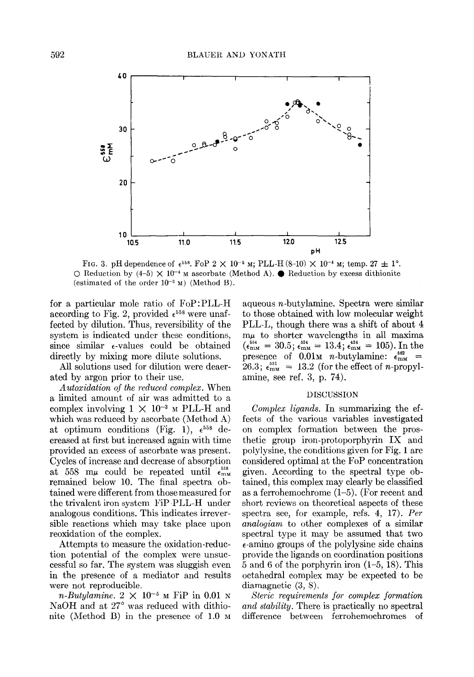

FIG. 3. pH dependence of  $e^{558}$ . FoP  $2 \times 10^{-5}$  M; PLL-H (8-10)  $\times 10^{-4}$  M; temp. 27  $\pm 1^{\circ}$ .  $\circ$  Reduction by  $(4-5) \times 10^{-4}$  m ascorbate (Method A). **C** Reduction by excess dithionite (estimated of the order  $10^{-3}$  M) (Method B).

for a particular mole ratio of FOP :PLL-H according to Fig. 2, provided  $\epsilon^{558}$  were unaffected by dilution. Thus, reversibility of the system is indicated under these conditions, since similar  $\epsilon$ -values could be obtained directly by mixing more dilute solutions.

All solutions used for dilution were deaerated by argon prior to their use.

Autoxidation of the reduced complex. When a limited amount of air was admitted to a complex involving  $1 \times 10^{-3}$  M PLL-H and which was reduced by ascorbate (Method  $A$ ) at optimum conditions (Fig. 1),  $\epsilon^{558}$  decreased at first but increased again with time provided an excess of ascorbate was present. Cycles of increase and decrease of absorption at 558 m $\mu$  could be repeated until  $\epsilon_{\text{mm}}^{558}$ remained below 10. The final spectra obtained were different from those measured for the trivalent iron system FiP-PLL-H under analogous conditions. This indicates irreversible reactions which may take place upon reoxidation of the complex.

Attempts to measure the oxidation-reduction potential of the complex were unsuccessful so far. The system was sluggish even in the presence of a mediator and results were not reproducible.

n-Butylamine.  $2 \times 10^{-5}$  M FiP in 0.01 N NaOH and at 27° was reduced with dithionite (Method B) in the presence of  $1.0 \text{ m}$ 

aqueous n-butylamine. Spectra were similar to those obtained with low molecular weight PLL-L, though there was a shift of about 4  $m\mu$  to shorter wavelengths in all maxima  $(\epsilon_{\text{mm}}^{554} = 30.5; \epsilon_{\text{mm}}^{524} = 13.4; \epsilon_{\text{mm}}^{424} = 105)$ . In the presence of  $\overline{0.01}$ M *n*-butylamine:  $\epsilon_{\text{mm}}^{662}$  =  $26.3$ ;  $\epsilon_{\text{mm}}^{531}$  = 13.2 (for the effect of *n*-propylamine, see ref. 3, p. 74).

## DISCUSSION

Complex ligands. In summarizing the effects of the various variables investigated on complex formation between the prosthetic group iron-protoporphyrin IX and polylysine, the conditions given for Fig. 1 are considered optimal at the FoP concentration given. According to the spectral type obtained, this complex may clearly be classified as a ferrohemochrome (l-5). (For recent and short reviews on theoretical aspects of these spectra see, for example, refs. 4, 17). Per analogiam to other complexes of a similar spectral type it may be assumed that two c-amino groups of the polylysine side chains provide the ligands on coordination positions 5 and 6 of the porphyrin iron (l-5, 18). This octahedral complex may be expected to be diamagnetic (3, 8).

Steric requirements for complex formation and stability. There is practically no spectral difference between ferrohemochromes of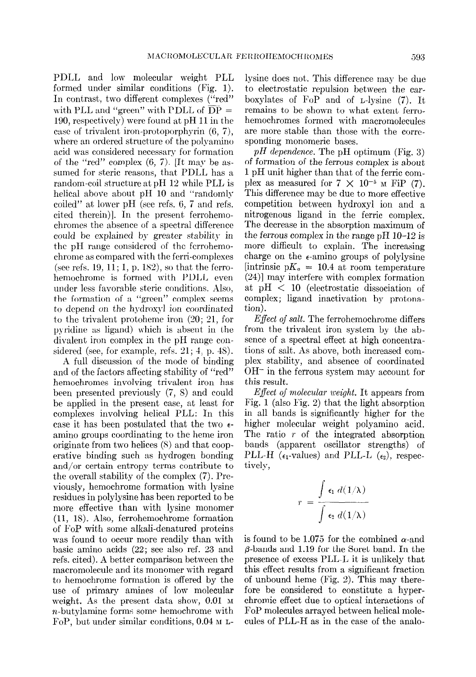PDLL and low molecular weight PLL formed under similar conditions (Fig. 1). In contrast, two different complexes ("red" with PLL and "green" with PDLL of  $\overline{DP}$  = 190, respectively) were found at pH 11 in the case of trivalent iron-protoporphyrin (6, 7), where an ordered structure of the polyamino acid was considered necessary for formation of the "red" complex  $(6, 7)$ . [It may be assumed for steric reasons, that PDLL has a random-coil structure at pH 12 while PLL is helical above about pH 10 and "randomly coiled" at lower pH (see refs. 6, 7 and refs. cited therein). In the present ferrohemochromes the absence of a spectral difference could be explained by greater stability in the pH range considered of the ferrohemochrome as compared with the ferri-complexes (see refs. 19, 11; 1, p. 182), so that the ferrohemochrome is formed with PDLL even under less favorable steric conditions. Also, the formation of a "green" complex seems to depend on the hydroxyl ion coordinated to the trivalent protoheme iron  $(20; 21, 6r)$ pvridine as ligand) which is absent in the divalent iron complex in the pH range considered (see, for example, refs.  $21; 4$ , p.  $48$ ).

A full discussion of the mode of binding and of the factors affecting stability of "red" hemochromes involving trivalent iron has been presented previously (7, 8) and could be applied in the present case, at least for complexes involving helical PLL: In this case it has been postulated that the two  $\epsilon$ amino groups coordinating to the heme iron originate from two helices (8) and that cooperative binding such as hydrogen bonding and/or certain entropy terms contribute to the overall stability of the complex  $(7)$ . Previously, hemochrome formation with lysine residues in polylysine has been reported to be more effective than with lysine monomer (11, 18). Also, ferrohemochrome formation of FoP with some alkali-denatured proteins was found to occur more readily than with basic amino acids (22; see also ref. 23 and refs. cited). A better comparison between the macromolecule and its monomer with regard to hemochrome formation is offered by the use of primary amines of low molecular weight. As the present data show,  $0.01$  M n-butylamine forms some hemochrome with FoP, but under similar conditions,  $0.04 \text{ m}$  L-

lysine does not. This difference may be due to electrostatic repulsion between the carboxylates of FOP and of L-lysine (7). It remains to be shown to what extent ferrohemochromes formed with macromolecules are more stable than those with the corresponding monomeric bases.

 $pH$  dependence. The pH optimum (Fig. 3) of formation of the ferrous complex is about 1 pH unit higher than that of the ferric complex as measured for  $7 \times 10^{-5}$  M FiP (7). This difference may be due to more effective competition between hydroxyl ion and a nitrogenous ligand in the ferric complex. The decrease in the absorption maximum of the ferrous complex in the range pH  $10-12$  is more difficult to explain. The increasing charge on the  $\epsilon$ -amino groups of polylysine [intrinsic  $pK_a = 10.4$  at room temperature  $(24)$ ] may interfere with complex formation at  $pH < 10$  (electrostatic dissociation of complex; ligand inactivation by protonation).

*Effect of salt.* The ferrohemochrome differs from the trivalent iron system by the absence of a spectral effect at high concentrations of salt. As above, both increased complex stability, and absence of coordinated  $OH^-$  in the ferrous system may account for this result.

Effect of molecular weight. It appears from Fig. 1 (also Fig. 2) that the light absorption in all bands is significantly higher for the higher molecular weight polyamino acid. The ratio  $r$  of the integrated absorption bands (apparent oscillator strengths) of PLL-H ( $\epsilon_1$ -values) and PLL-L ( $\epsilon_2$ ), respectively,

$$
r = \frac{\int \epsilon_1 d(1/\lambda)}{\int \epsilon_2 d(1/\lambda)}
$$

is found to be 1.075 for the combined  $\alpha$ -and  $\beta$ -bands and 1.19 for the Soret band. In the presence of excess PLL-L it is unlikely that this effect results from a significant fraction of unbound heme (Fig. 2). This may therefore be considered to constitute a hyperchromic effect due to optical interactions of FOP molecules arrayed between helical molecules of PLL-H as in the case of the analo-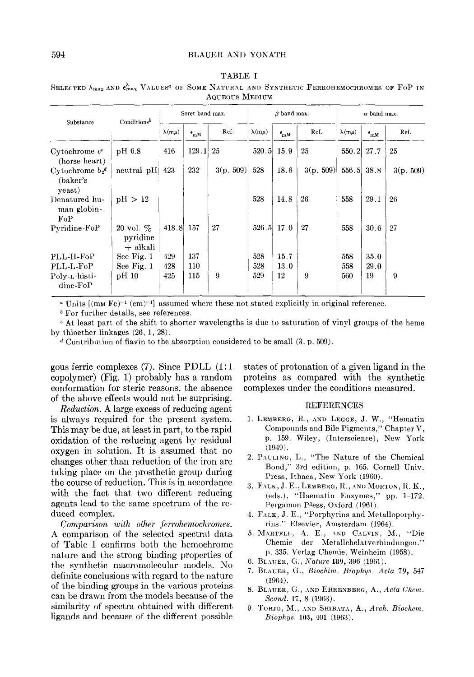| Substance                                 | Conditions <sup><math>b</math></sup> | Soret-band max. |                     |           | $\beta$ -band max. |                        |           | $\alpha$ -band max. |                 |          |
|-------------------------------------------|--------------------------------------|-----------------|---------------------|-----------|--------------------|------------------------|-----------|---------------------|-----------------|----------|
|                                           |                                      | $\lambda(m\mu)$ | $\epsilon_{\rm mM}$ | Ref.      | $\lambda(m\mu)$    | $\epsilon_{\rm mM}^{}$ | Ref.      | $\lambda(m\mu)$     | $\epsilon_{mM}$ | Ref.     |
| $Cytochrome$ $cc$<br>(horse heart)        | pH 6.8                               | 416             | 129.1               | 25        | 520.5              | 15.9                   | 25        | 550.2               | 27.7            | 25       |
| Cytochrome $b_2^d$<br>(baker's)<br>yeast) | neutral pH                           | 423             | 232                 | 3(p. 509) | 528                | 18.6                   | 3(p. 509) | 556.5               | 38.8            | 3(p.509) |
| Denatured hu-<br>man globin-<br>$F_0P$    | pH > 12                              |                 |                     |           | 528                | 14.8                   | 26        | 558                 | 29.1            | 26       |
| Pyridine-FoP                              | 20 vol. $\%$<br>pyridine<br>+ alkali | 418.8           | 157                 | 27        | $526.5$ 17.0       |                        | 27        | 558                 | 30.6            | 27       |
| PLL-H-FoP                                 | See Fig. 1                           | 429             | 137                 |           | 528                | 15.7                   |           | 558                 | 35.0            |          |
| PLL-L-FoP                                 | See Fig. 1                           | 428             | 110                 |           | 528                | 13.0                   |           | 558                 | 29.0            |          |
| Polv-L-histi-<br>$dine-FoP$               | pH 10                                | 425             | 115                 | 9         | 529                | 12                     | 9         | 560                 | 19              | 9        |

TABLE I SELECTED  $\lambda_{\text{max}}$  and  $\epsilon_{\text{max}}^{\lambda}$  Values<sup>4</sup> of Some Natural and Synthetic Ferrohemochromes of FoP in AQUEOUS MEDIUM

<sup>a</sup> Units  $[(mM Fe)^{-1} (cm)^{-1}]$  assumed where these not stated explicitly in original reference.

b For further details, see references.

c At least part of the shift to shorter wavelengths is due to saturation of vinyl groups of the heme by thioether linkages (26, 1, 28).

<sup>d</sup> Contribution of flavin to the absorption considered to be small  $(3, p. 509)$ .

gous ferric complexes (7). Since PDLL (1: 1 copolymer) (Fig. 1) probably has a random conformation for steric reasons, the absence of the above effects would not be surprising.

Reduction. A large excess of reducing agent is always required for the present system. This may be due, at least in part, to the rapid oxidation of the reducing agent by residual oxygen in solution. It is assumed that no changes other than reduction of the iron are taking place on the prosthetic group during the course of reduction. This is in accordance with the fact that two different reducing agents lead to the same spectrum of the reduced complex.

Comparison with other ferrohemochromes. A comparison of the selected spectral data of Table I confirms both the hemochrome nature and the strong binding properties of the synthetic macromolecular models. No definite conclusions with regard to the nature of the binding groups in the various proteins can be drawn from the models because of the similarity of spectra obtained with different ligands and because of the different possible states of protonation of a given ligand in the proteins as compared with the synthetic complexes under the conditions measured.

## **REFERENCES**

- 1. LEMBERG, R., AND LEGGE, J. W., "Hematin Compounds and Bile Pigments," Chapter V, p. 159. Wiley, (Interscience), New York (1949).
- 2. PAULING, L., "The Nature of the Chemical Bond," 3rd edition, p. 165. Cornell Univ. Press, Ithaca, New York (1960).
- 3. FALK,  $J. E., L$ EMBERG,  $R.,$ AND MORTON,  $R. K.,$ (eds.1, "Haematin Enzymes," pp. 1-172. Pergamon P<sup>I</sup>ess, Oxford (1961).
- 4. FALK, J. E., "Porphyrins and Metalloporphyrins." Elsevier, Amsterdam (1964).
- 5. MARTELL, A. E., AND CALVIN, M., "Die Chemie der Metallchelatverbindungen." p. 335. Verlag Chemie, Weinheim (1958).
- 6. BLAUER, G., Nature 189, 396 (1961).
- 7. BLAUER, G., Biochim. Biophys. Acta 79, 547 (1964).
- 8. BLAUER, G., AND EHRENBERG, A., Acta Chem. Scand. 17, 8 (1963).
- 9. TOHJO, M., AND SHIBATA, A., Arch. Biochem. Biophys. 103, 401 (1963).